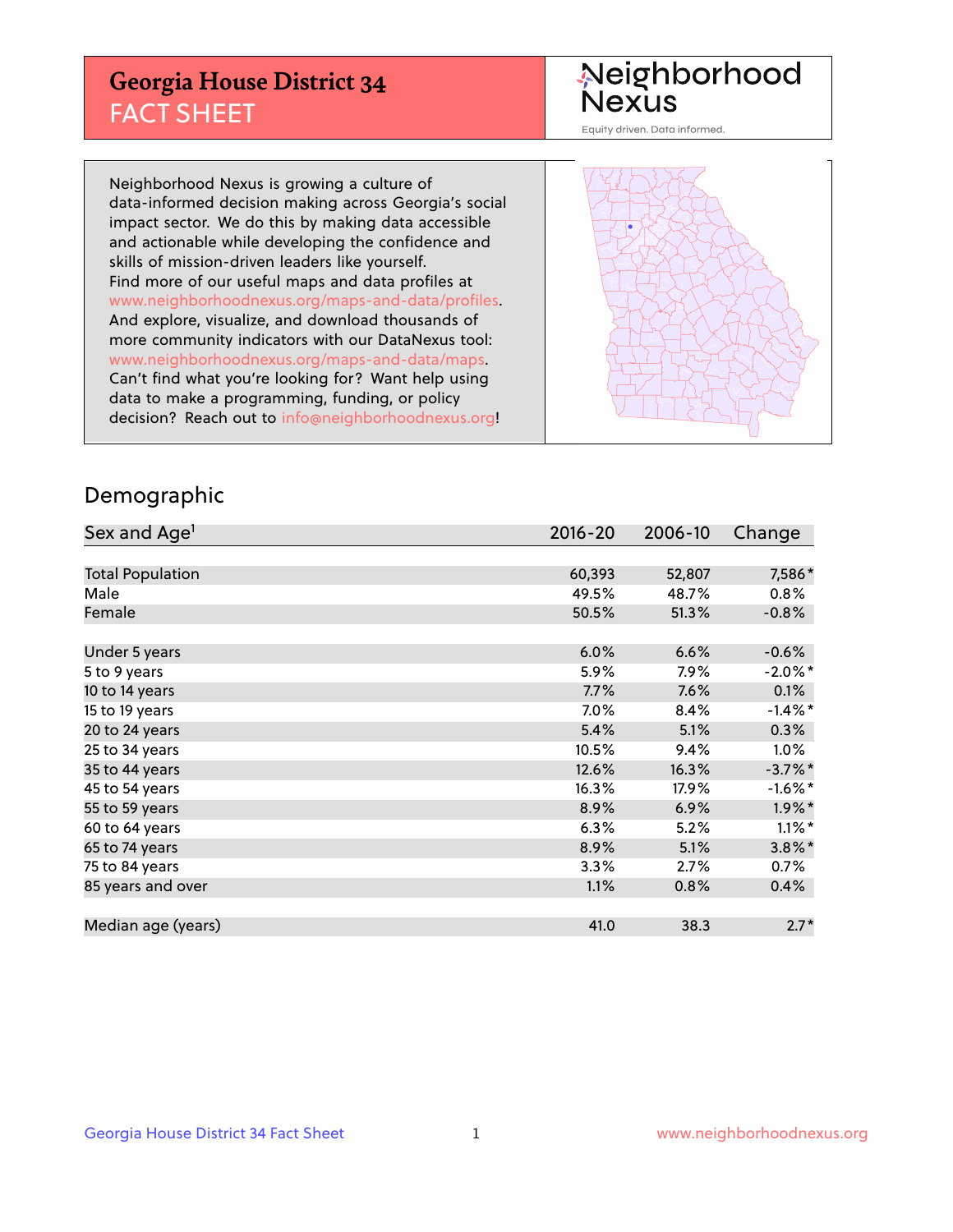## **Georgia House District 34** FACT SHEET

# Neighborhood<br>Nexus

Equity driven. Data informed.

Neighborhood Nexus is growing a culture of data-informed decision making across Georgia's social impact sector. We do this by making data accessible and actionable while developing the confidence and skills of mission-driven leaders like yourself. Find more of our useful maps and data profiles at www.neighborhoodnexus.org/maps-and-data/profiles. And explore, visualize, and download thousands of more community indicators with our DataNexus tool: www.neighborhoodnexus.org/maps-and-data/maps. Can't find what you're looking for? Want help using data to make a programming, funding, or policy decision? Reach out to [info@neighborhoodnexus.org!](mailto:info@neighborhoodnexus.org)



### Demographic

| Sex and Age <sup>1</sup> | $2016 - 20$ | 2006-10 | Change     |
|--------------------------|-------------|---------|------------|
|                          |             |         |            |
| <b>Total Population</b>  | 60,393      | 52,807  | 7,586*     |
| Male                     | 49.5%       | 48.7%   | 0.8%       |
| Female                   | 50.5%       | 51.3%   | $-0.8%$    |
|                          |             |         |            |
| Under 5 years            | 6.0%        | 6.6%    | $-0.6%$    |
| 5 to 9 years             | 5.9%        | $7.9\%$ | $-2.0\%$ * |
| 10 to 14 years           | 7.7%        | 7.6%    | 0.1%       |
| 15 to 19 years           | 7.0%        | 8.4%    | $-1.4\%$ * |
| 20 to 24 years           | 5.4%        | 5.1%    | 0.3%       |
| 25 to 34 years           | 10.5%       | 9.4%    | $1.0\%$    |
| 35 to 44 years           | 12.6%       | 16.3%   | $-3.7\%$ * |
| 45 to 54 years           | 16.3%       | 17.9%   | $-1.6\%$ * |
| 55 to 59 years           | 8.9%        | 6.9%    | $1.9\%$ *  |
| 60 to 64 years           | 6.3%        | 5.2%    | $1.1\%$ *  |
| 65 to 74 years           | 8.9%        | 5.1%    | $3.8\%$ *  |
| 75 to 84 years           | 3.3%        | 2.7%    | 0.7%       |
| 85 years and over        | 1.1%        | 0.8%    | 0.4%       |
|                          |             |         |            |
| Median age (years)       | 41.0        | 38.3    | $2.7*$     |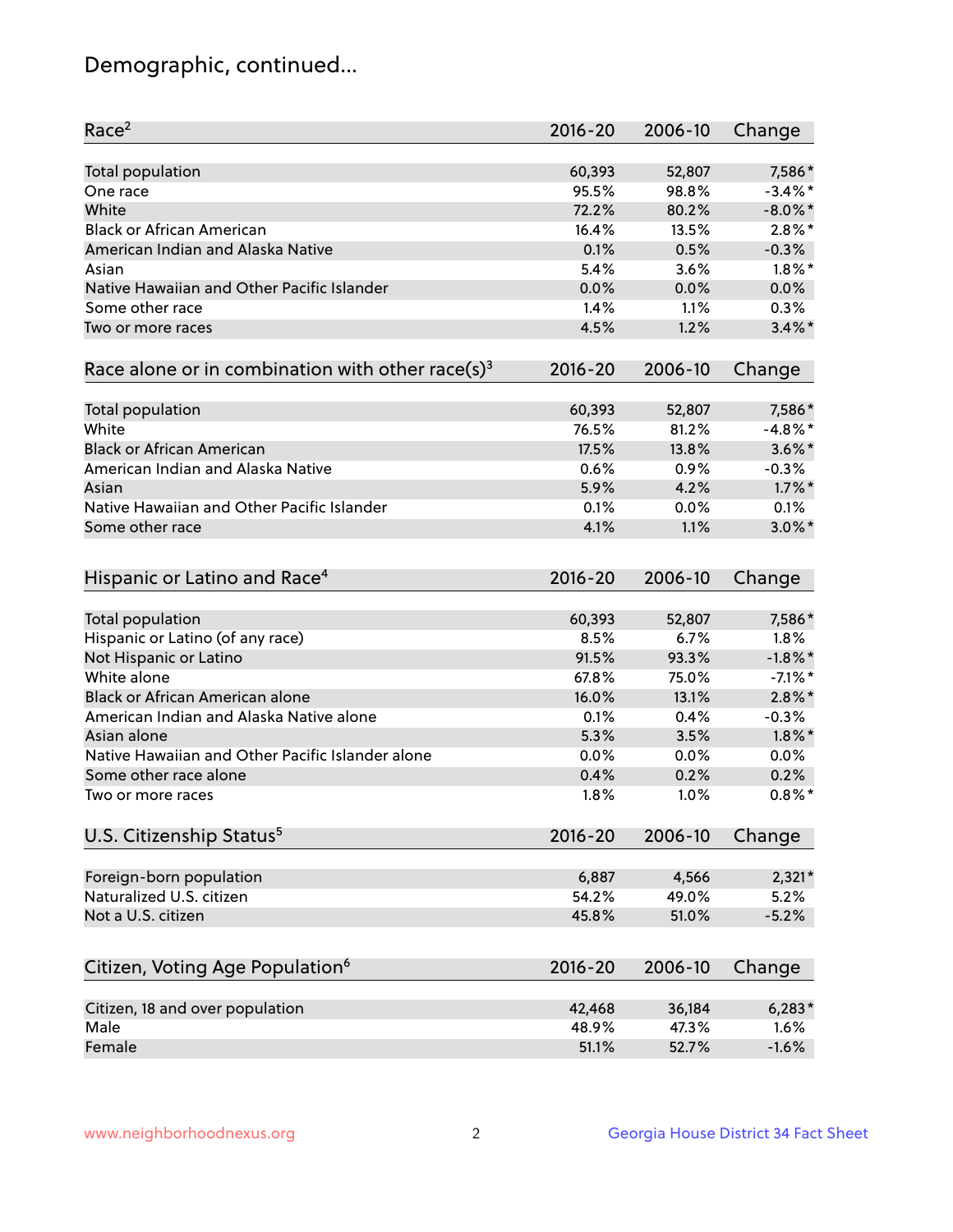## Demographic, continued...

| Race <sup>2</sup>                                            | $2016 - 20$ | 2006-10 | Change     |
|--------------------------------------------------------------|-------------|---------|------------|
| <b>Total population</b>                                      | 60,393      | 52,807  | 7,586*     |
| One race                                                     | 95.5%       | 98.8%   | $-3.4\%$ * |
| White                                                        | 72.2%       | 80.2%   | $-8.0\%$ * |
| <b>Black or African American</b>                             | 16.4%       | 13.5%   | $2.8\%$ *  |
| American Indian and Alaska Native                            | 0.1%        | 0.5%    | $-0.3%$    |
| Asian                                                        | 5.4%        | 3.6%    | $1.8\%$ *  |
| Native Hawaiian and Other Pacific Islander                   | 0.0%        | 0.0%    | 0.0%       |
| Some other race                                              | 1.4%        | 1.1%    | 0.3%       |
| Two or more races                                            | 4.5%        | 1.2%    | $3.4\%$ *  |
| Race alone or in combination with other race(s) <sup>3</sup> | $2016 - 20$ | 2006-10 | Change     |
| Total population                                             | 60,393      | 52,807  | 7,586*     |
| White                                                        | 76.5%       | 81.2%   | $-4.8\%$ * |
| <b>Black or African American</b>                             | 17.5%       | 13.8%   | $3.6\%$ *  |
| American Indian and Alaska Native                            | 0.6%        | 0.9%    | $-0.3%$    |
| Asian                                                        | 5.9%        | 4.2%    | $1.7\%$ *  |
| Native Hawaiian and Other Pacific Islander                   | 0.1%        | 0.0%    | 0.1%       |
| Some other race                                              | 4.1%        | 1.1%    | $3.0\%$ *  |
|                                                              |             |         |            |
| Hispanic or Latino and Race <sup>4</sup>                     | $2016 - 20$ | 2006-10 | Change     |
| <b>Total population</b>                                      | 60,393      | 52,807  | 7,586*     |
| Hispanic or Latino (of any race)                             | 8.5%        | 6.7%    | 1.8%       |
| Not Hispanic or Latino                                       | 91.5%       | 93.3%   | $-1.8\%$ * |
| White alone                                                  | 67.8%       | 75.0%   | $-7.1\%$ * |
| Black or African American alone                              | 16.0%       | 13.1%   | $2.8\%$ *  |
| American Indian and Alaska Native alone                      | 0.1%        | 0.4%    | $-0.3%$    |
| Asian alone                                                  | 5.3%        | 3.5%    | $1.8\%$ *  |
| Native Hawaiian and Other Pacific Islander alone             | 0.0%        | 0.0%    | 0.0%       |
| Some other race alone                                        | 0.4%        | 0.2%    | 0.2%       |
| Two or more races                                            | 1.8%        | 1.0%    | $0.8\%$ *  |
| U.S. Citizenship Status <sup>5</sup>                         | $2016 - 20$ | 2006-10 | Change     |
|                                                              |             |         |            |
| Foreign-born population                                      | 6,887       | 4,566   | $2,321*$   |
| Naturalized U.S. citizen                                     | 54.2%       | 49.0%   | 5.2%       |
| Not a U.S. citizen                                           | 45.8%       | 51.0%   | $-5.2%$    |
| Citizen, Voting Age Population <sup>6</sup>                  | 2016-20     | 2006-10 | Change     |
| Citizen, 18 and over population                              | 42,468      | 36,184  | $6,283*$   |
| Male                                                         | 48.9%       | 47.3%   | 1.6%       |
| Female                                                       | 51.1%       | 52.7%   | $-1.6%$    |
|                                                              |             |         |            |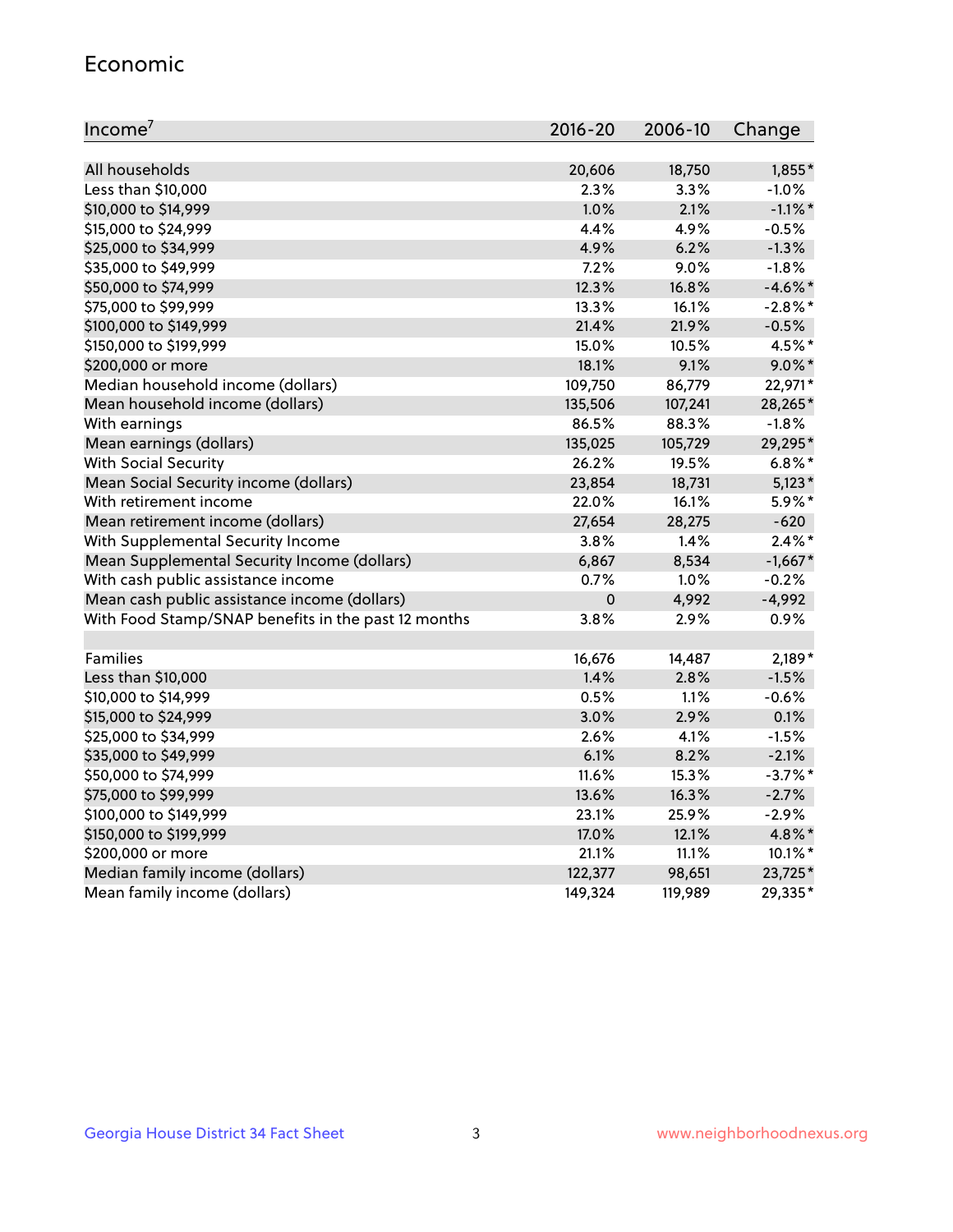#### Economic

| Income <sup>7</sup>                                 | $2016 - 20$ | 2006-10 | Change     |
|-----------------------------------------------------|-------------|---------|------------|
|                                                     |             |         |            |
| All households                                      | 20,606      | 18,750  | 1,855*     |
| Less than \$10,000                                  | 2.3%        | 3.3%    | $-1.0%$    |
| \$10,000 to \$14,999                                | 1.0%        | 2.1%    | $-1.1\%$ * |
| \$15,000 to \$24,999                                | 4.4%        | 4.9%    | $-0.5%$    |
| \$25,000 to \$34,999                                | 4.9%        | 6.2%    | $-1.3%$    |
| \$35,000 to \$49,999                                | 7.2%        | 9.0%    | $-1.8%$    |
| \$50,000 to \$74,999                                | 12.3%       | 16.8%   | $-4.6\%$ * |
| \$75,000 to \$99,999                                | 13.3%       | 16.1%   | $-2.8\%$ * |
| \$100,000 to \$149,999                              | 21.4%       | 21.9%   | $-0.5%$    |
| \$150,000 to \$199,999                              | 15.0%       | 10.5%   | 4.5%*      |
| \$200,000 or more                                   | 18.1%       | 9.1%    | $9.0\%$ *  |
| Median household income (dollars)                   | 109,750     | 86,779  | 22,971*    |
| Mean household income (dollars)                     | 135,506     | 107,241 | 28,265*    |
| With earnings                                       | 86.5%       | 88.3%   | $-1.8%$    |
| Mean earnings (dollars)                             | 135,025     | 105,729 | 29,295*    |
| <b>With Social Security</b>                         | 26.2%       | 19.5%   | $6.8\%$ *  |
| Mean Social Security income (dollars)               | 23,854      | 18,731  | $5,123*$   |
| With retirement income                              | 22.0%       | 16.1%   | 5.9%*      |
| Mean retirement income (dollars)                    | 27,654      | 28,275  | $-620$     |
| With Supplemental Security Income                   | $3.8\%$     | 1.4%    | $2.4\%$ *  |
| Mean Supplemental Security Income (dollars)         | 6,867       | 8,534   | $-1,667*$  |
| With cash public assistance income                  | 0.7%        | $1.0\%$ | $-0.2%$    |
| Mean cash public assistance income (dollars)        | $\pmb{0}$   | 4,992   | $-4,992$   |
| With Food Stamp/SNAP benefits in the past 12 months | 3.8%        | 2.9%    | 0.9%       |
|                                                     |             |         |            |
| Families                                            | 16,676      | 14,487  | $2,189*$   |
| Less than \$10,000                                  | 1.4%        | 2.8%    | $-1.5%$    |
| \$10,000 to \$14,999                                | 0.5%        | 1.1%    | $-0.6%$    |
| \$15,000 to \$24,999                                | 3.0%        | 2.9%    | 0.1%       |
| \$25,000 to \$34,999                                | 2.6%        | 4.1%    | $-1.5%$    |
| \$35,000 to \$49,999                                | 6.1%        | 8.2%    | $-2.1%$    |
| \$50,000 to \$74,999                                | 11.6%       | 15.3%   | $-3.7\%$ * |
| \$75,000 to \$99,999                                | 13.6%       | 16.3%   | $-2.7%$    |
| \$100,000 to \$149,999                              | 23.1%       | 25.9%   | $-2.9%$    |
| \$150,000 to \$199,999                              | 17.0%       | 12.1%   | 4.8%*      |
| \$200,000 or more                                   | 21.1%       | 11.1%   | $10.1\%$ * |
| Median family income (dollars)                      | 122,377     | 98,651  | 23,725*    |
| Mean family income (dollars)                        | 149,324     | 119,989 | 29,335*    |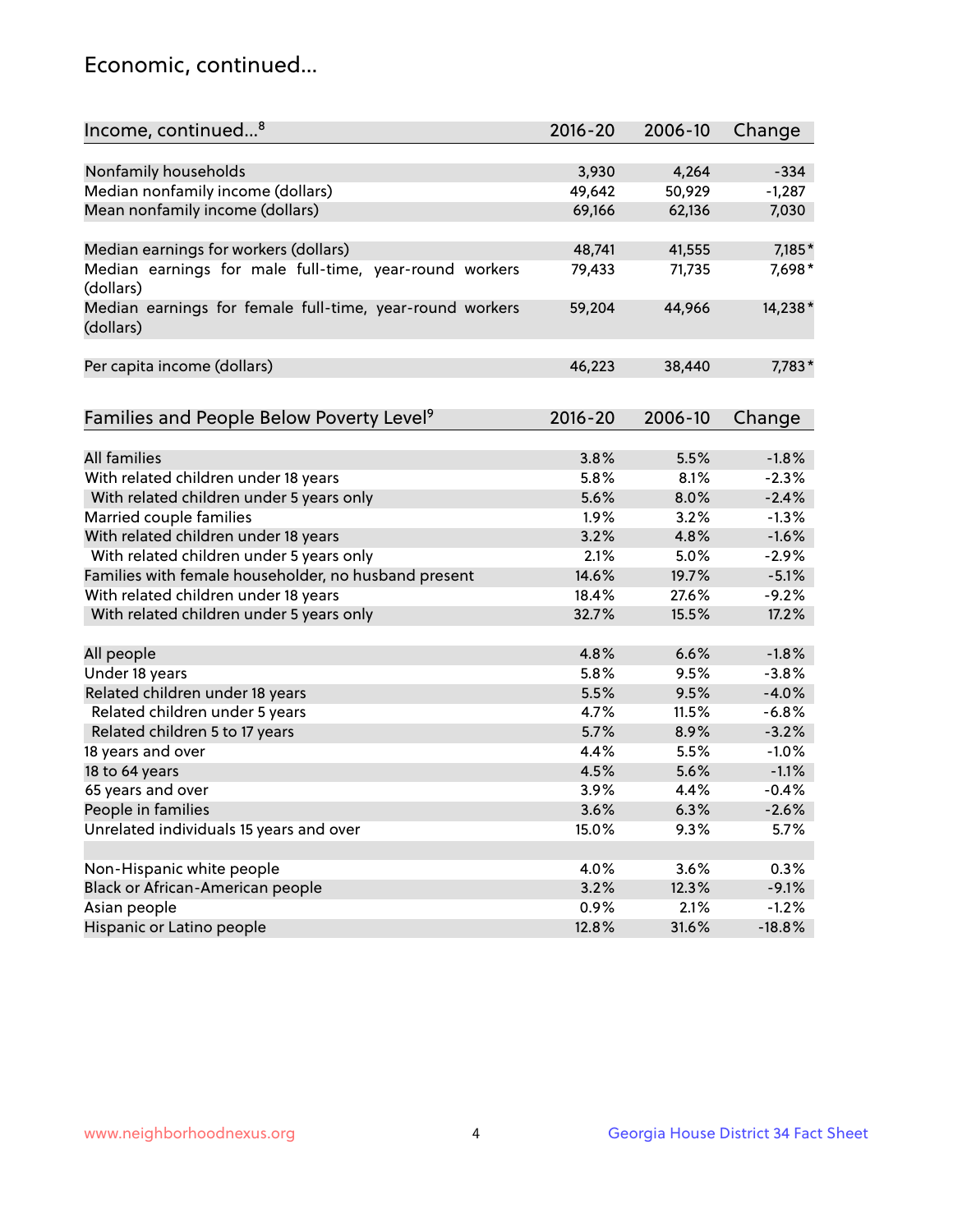## Economic, continued...

| Income, continued <sup>8</sup>                                        | $2016 - 20$ | 2006-10       | Change              |
|-----------------------------------------------------------------------|-------------|---------------|---------------------|
|                                                                       |             |               |                     |
| Nonfamily households                                                  | 3,930       | 4,264         | $-334$              |
| Median nonfamily income (dollars)                                     | 49,642      | 50,929        | $-1,287$            |
| Mean nonfamily income (dollars)                                       | 69,166      | 62,136        | 7,030               |
| Median earnings for workers (dollars)                                 | 48,741      | 41,555        | 7,185*              |
| Median earnings for male full-time, year-round workers                | 79,433      | 71,735        | 7,698*              |
| (dollars)                                                             |             |               |                     |
| Median earnings for female full-time, year-round workers<br>(dollars) | 59,204      | 44,966        | 14,238*             |
| Per capita income (dollars)                                           | 46,223      | 38,440        | 7,783*              |
|                                                                       |             |               |                     |
| Families and People Below Poverty Level <sup>9</sup>                  | 2016-20     | 2006-10       | Change              |
|                                                                       |             |               |                     |
| <b>All families</b>                                                   | 3.8%        | 5.5%          | $-1.8%$             |
| With related children under 18 years                                  | 5.8%        | 8.1%          | $-2.3%$             |
| With related children under 5 years only                              | 5.6%        | 8.0%          | $-2.4%$             |
| Married couple families                                               | 1.9%        | 3.2%          | $-1.3%$             |
| With related children under 18 years                                  | 3.2%        | 4.8%          | $-1.6%$             |
| With related children under 5 years only                              | 2.1%        | 5.0%          | $-2.9%$             |
| Families with female householder, no husband present                  | 14.6%       | 19.7%         | $-5.1%$             |
| With related children under 18 years                                  | 18.4%       | 27.6%         | $-9.2%$             |
| With related children under 5 years only                              | 32.7%       | 15.5%         | 17.2%               |
| All people                                                            | 4.8%        | 6.6%          | $-1.8%$             |
| Under 18 years                                                        | 5.8%        | 9.5%          | $-3.8%$             |
| Related children under 18 years                                       | 5.5%        | 9.5%          | $-4.0%$             |
| Related children under 5 years                                        | 4.7%        | 11.5%         | $-6.8%$             |
|                                                                       | 5.7%        | 8.9%          | $-3.2%$             |
| Related children 5 to 17 years                                        | 4.4%        |               |                     |
| 18 years and over                                                     |             | 5.5%          | $-1.0%$             |
| 18 to 64 years                                                        | 4.5%        | 5.6%          | $-1.1%$             |
| 65 years and over                                                     | 3.9%        | 4.4%          | $-0.4%$             |
| People in families                                                    | 3.6%        | 6.3%          | $-2.6%$             |
| Unrelated individuals 15 years and over                               | 15.0%       | 9.3%          | 5.7%                |
| Non-Hispanic white people                                             | 4.0%        | 3.6%          | 0.3%                |
| Black or African-American people                                      | 3.2%        |               | $-9.1%$             |
|                                                                       | $0.9\%$     | 12.3%<br>2.1% |                     |
| Asian people<br>Hispanic or Latino people                             | 12.8%       |               | $-1.2%$<br>$-18.8%$ |
|                                                                       |             | 31.6%         |                     |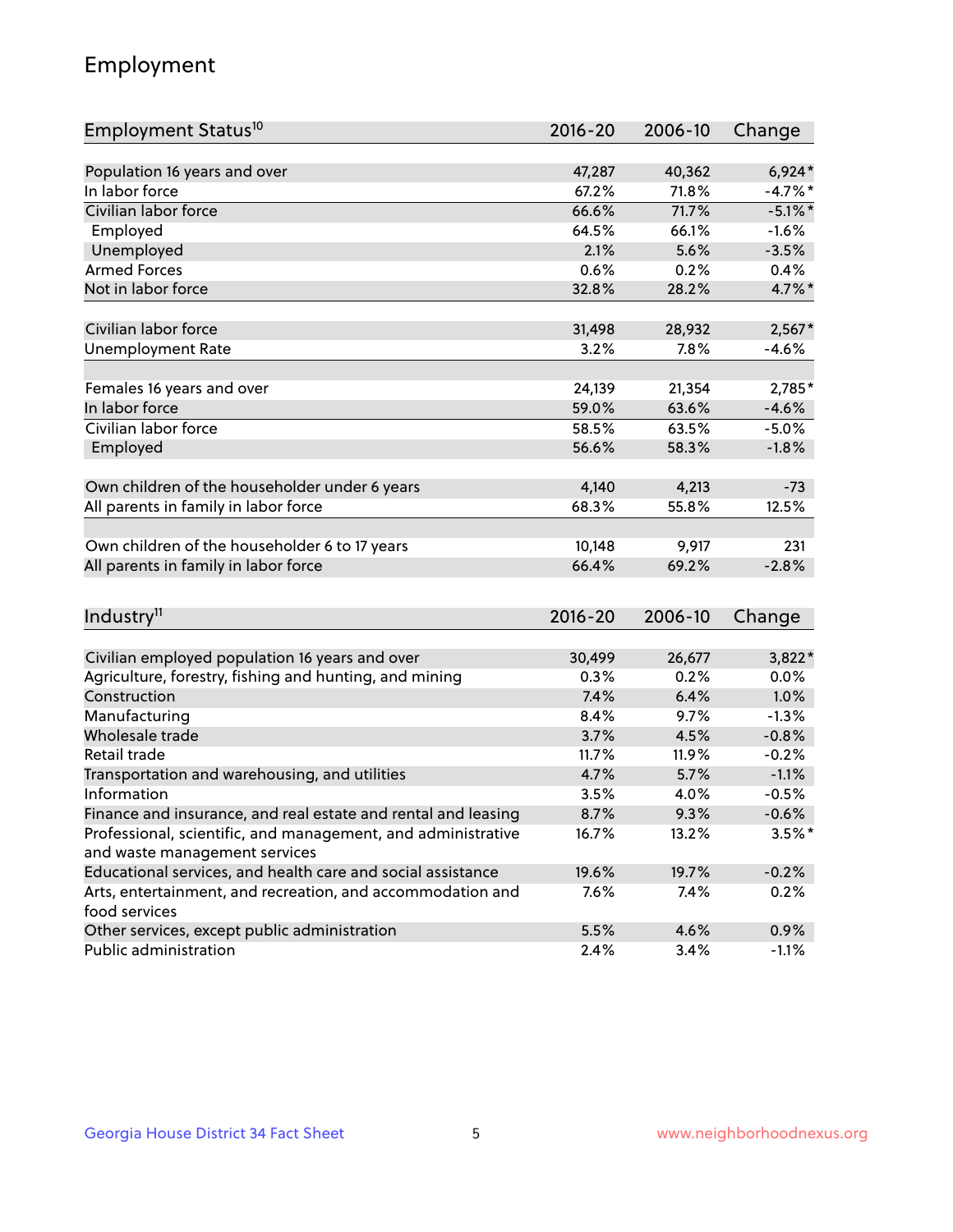## Employment

| Employment Status <sup>10</sup>                               | $2016 - 20$ | 2006-10 | Change     |
|---------------------------------------------------------------|-------------|---------|------------|
|                                                               |             |         |            |
| Population 16 years and over                                  | 47,287      | 40,362  | $6,924*$   |
| In labor force                                                | 67.2%       | 71.8%   | $-4.7%$ *  |
| Civilian labor force                                          | 66.6%       | 71.7%   | $-5.1\%$ * |
| Employed                                                      | 64.5%       | 66.1%   | $-1.6%$    |
| Unemployed                                                    | 2.1%        | 5.6%    | $-3.5%$    |
| <b>Armed Forces</b>                                           | 0.6%        | 0.2%    | 0.4%       |
| Not in labor force                                            | 32.8%       | 28.2%   | 4.7%*      |
| Civilian labor force                                          | 31,498      | 28,932  | $2,567*$   |
| <b>Unemployment Rate</b>                                      | 3.2%        | 7.8%    | $-4.6%$    |
|                                                               |             |         |            |
| Females 16 years and over                                     | 24,139      | 21,354  | 2,785*     |
| In labor force                                                | 59.0%       | 63.6%   | $-4.6%$    |
| Civilian labor force                                          | 58.5%       | 63.5%   | $-5.0%$    |
| Employed                                                      | 56.6%       | 58.3%   | $-1.8%$    |
| Own children of the householder under 6 years                 | 4,140       | 4,213   | $-73$      |
|                                                               | 68.3%       | 55.8%   | 12.5%      |
| All parents in family in labor force                          |             |         |            |
| Own children of the householder 6 to 17 years                 | 10,148      | 9,917   | 231        |
| All parents in family in labor force                          | 66.4%       | 69.2%   | $-2.8%$    |
|                                                               |             |         |            |
| Industry <sup>11</sup>                                        | $2016 - 20$ | 2006-10 | Change     |
|                                                               |             |         |            |
| Civilian employed population 16 years and over                | 30,499      | 26,677  | 3,822*     |
| Agriculture, forestry, fishing and hunting, and mining        | $0.3\%$     | 0.2%    | 0.0%       |
| Construction                                                  | 7.4%        | 6.4%    | 1.0%       |
| Manufacturing                                                 | 8.4%        | 9.7%    | $-1.3%$    |
| Wholesale trade                                               | 3.7%        | 4.5%    | $-0.8%$    |
| Retail trade                                                  | 11.7%       | 11.9%   | $-0.2%$    |
| Transportation and warehousing, and utilities                 | 4.7%        | 5.7%    | $-1.1%$    |
| Information                                                   | 3.5%        | 4.0%    | $-0.5%$    |
| Finance and insurance, and real estate and rental and leasing | 8.7%        | 9.3%    | $-0.6%$    |
| Professional, scientific, and management, and administrative  | 16.7%       | 13.2%   | $3.5%$ *   |
| and waste management services                                 |             |         |            |
| Educational services, and health care and social assistance   | 19.6%       | 19.7%   | $-0.2%$    |
| Arts, entertainment, and recreation, and accommodation and    | 7.6%        | 7.4%    | 0.2%       |
| food services                                                 |             |         |            |
| Other services, except public administration                  | 5.5%        | 4.6%    | 0.9%       |
| Public administration                                         | 2.4%        | 3.4%    | $-1.1%$    |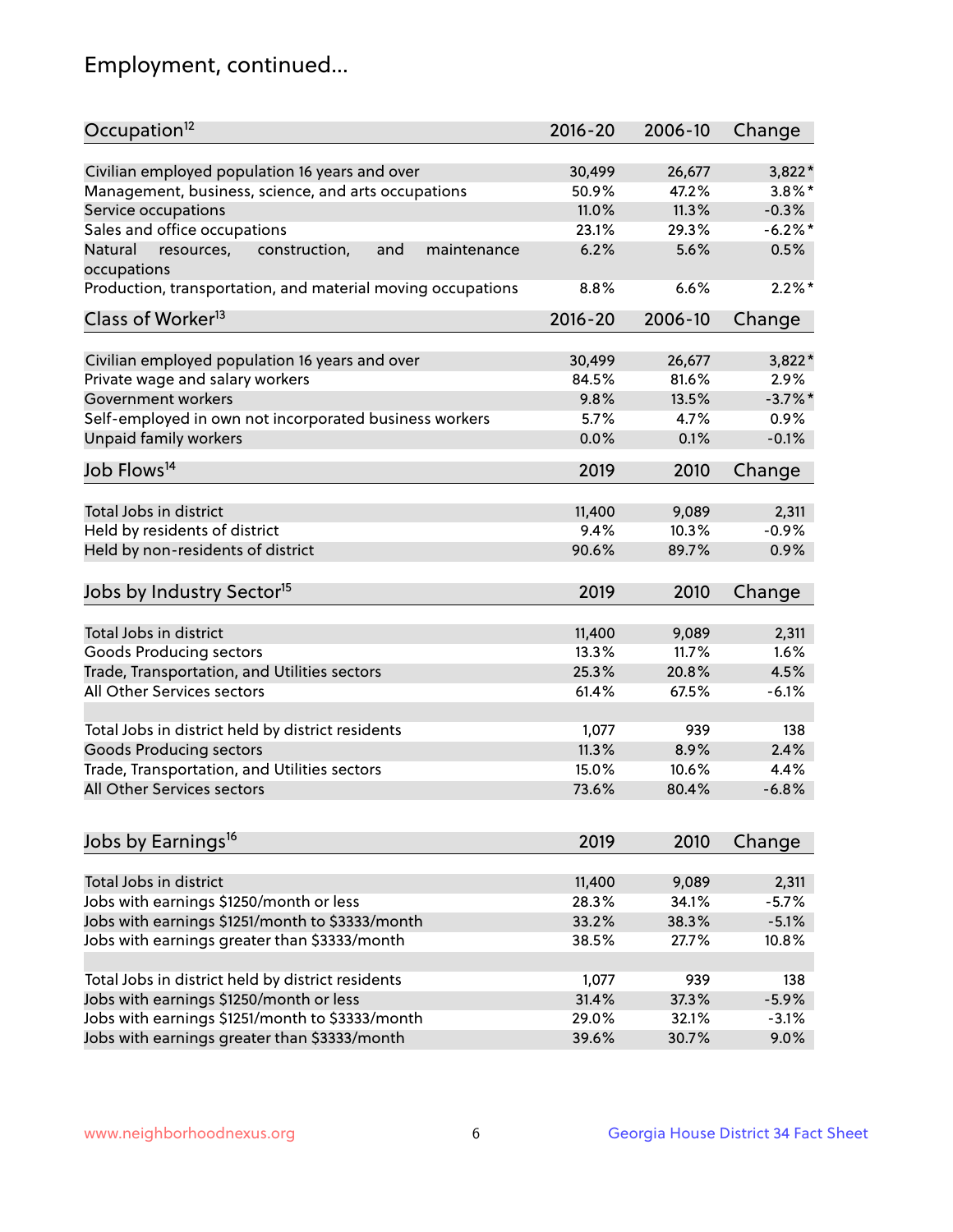## Employment, continued...

| Civilian employed population 16 years and over<br>3,822*<br>30,499<br>26,677<br>Management, business, science, and arts occupations<br>$3.8\%$ *<br>50.9%<br>47.2%<br>11.0%<br>11.3%<br>$-0.3%$<br>Service occupations<br>Sales and office occupations<br>$-6.2\%$ *<br>23.1%<br>29.3%<br>6.2%<br>5.6%<br>0.5%<br>Natural<br>and<br>resources,<br>construction,<br>maintenance<br>6.6%<br>$2.2\%$ *<br>8.8%<br>$2016 - 20$<br>2006-10<br>Change<br>Civilian employed population 16 years and over<br>26,677<br>3,822*<br>30,499<br>Private wage and salary workers<br>84.5%<br>81.6%<br>2.9%<br>$-3.7%$ *<br>Government workers<br>9.8%<br>13.5%<br>Self-employed in own not incorporated business workers<br>5.7%<br>0.9%<br>4.7%<br>Unpaid family workers<br>$-0.1%$<br>0.0%<br>0.1%<br>2019<br>2010<br>Change<br>Total Jobs in district<br>11,400<br>9,089<br>2,311<br>Held by residents of district<br>9.4%<br>10.3%<br>$-0.9%$<br>0.9%<br>90.6%<br>89.7%<br>2019<br>2010<br>Change<br>Total Jobs in district<br>11,400<br>9,089<br>2,311<br>Goods Producing sectors<br>13.3%<br>11.7%<br>1.6%<br>4.5%<br>Trade, Transportation, and Utilities sectors<br>25.3%<br>20.8%<br>All Other Services sectors<br>61.4%<br>67.5%<br>$-6.1%$<br>Total Jobs in district held by district residents<br>1,077<br>939<br>138<br><b>Goods Producing sectors</b><br>11.3%<br>8.9%<br>2.4%<br>Trade, Transportation, and Utilities sectors<br>15.0%<br>10.6%<br>4.4%<br>$-6.8%$<br>73.6%<br>80.4%<br>2019<br>2010<br>Change<br>Total Jobs in district<br>11,400<br>9,089<br>2,311<br>Jobs with earnings \$1250/month or less<br>28.3%<br>34.1%<br>$-5.7%$<br>Jobs with earnings \$1251/month to \$3333/month<br>$-5.1%$<br>33.2%<br>38.3%<br>Jobs with earnings greater than \$3333/month<br>10.8%<br>38.5%<br>27.7% | Occupation <sup>12</sup>                                    | $2016 - 20$ | 2006-10 | Change |
|----------------------------------------------------------------------------------------------------------------------------------------------------------------------------------------------------------------------------------------------------------------------------------------------------------------------------------------------------------------------------------------------------------------------------------------------------------------------------------------------------------------------------------------------------------------------------------------------------------------------------------------------------------------------------------------------------------------------------------------------------------------------------------------------------------------------------------------------------------------------------------------------------------------------------------------------------------------------------------------------------------------------------------------------------------------------------------------------------------------------------------------------------------------------------------------------------------------------------------------------------------------------------------------------------------------------------------------------------------------------------------------------------------------------------------------------------------------------------------------------------------------------------------------------------------------------------------------------------------------------------------------------------------------------------------------------------------------------------------------------------------------------------------------------------------|-------------------------------------------------------------|-------------|---------|--------|
|                                                                                                                                                                                                                                                                                                                                                                                                                                                                                                                                                                                                                                                                                                                                                                                                                                                                                                                                                                                                                                                                                                                                                                                                                                                                                                                                                                                                                                                                                                                                                                                                                                                                                                                                                                                                          |                                                             |             |         |        |
|                                                                                                                                                                                                                                                                                                                                                                                                                                                                                                                                                                                                                                                                                                                                                                                                                                                                                                                                                                                                                                                                                                                                                                                                                                                                                                                                                                                                                                                                                                                                                                                                                                                                                                                                                                                                          |                                                             |             |         |        |
|                                                                                                                                                                                                                                                                                                                                                                                                                                                                                                                                                                                                                                                                                                                                                                                                                                                                                                                                                                                                                                                                                                                                                                                                                                                                                                                                                                                                                                                                                                                                                                                                                                                                                                                                                                                                          |                                                             |             |         |        |
|                                                                                                                                                                                                                                                                                                                                                                                                                                                                                                                                                                                                                                                                                                                                                                                                                                                                                                                                                                                                                                                                                                                                                                                                                                                                                                                                                                                                                                                                                                                                                                                                                                                                                                                                                                                                          |                                                             |             |         |        |
|                                                                                                                                                                                                                                                                                                                                                                                                                                                                                                                                                                                                                                                                                                                                                                                                                                                                                                                                                                                                                                                                                                                                                                                                                                                                                                                                                                                                                                                                                                                                                                                                                                                                                                                                                                                                          |                                                             |             |         |        |
|                                                                                                                                                                                                                                                                                                                                                                                                                                                                                                                                                                                                                                                                                                                                                                                                                                                                                                                                                                                                                                                                                                                                                                                                                                                                                                                                                                                                                                                                                                                                                                                                                                                                                                                                                                                                          | occupations                                                 |             |         |        |
|                                                                                                                                                                                                                                                                                                                                                                                                                                                                                                                                                                                                                                                                                                                                                                                                                                                                                                                                                                                                                                                                                                                                                                                                                                                                                                                                                                                                                                                                                                                                                                                                                                                                                                                                                                                                          | Production, transportation, and material moving occupations |             |         |        |
|                                                                                                                                                                                                                                                                                                                                                                                                                                                                                                                                                                                                                                                                                                                                                                                                                                                                                                                                                                                                                                                                                                                                                                                                                                                                                                                                                                                                                                                                                                                                                                                                                                                                                                                                                                                                          | Class of Worker <sup>13</sup>                               |             |         |        |
|                                                                                                                                                                                                                                                                                                                                                                                                                                                                                                                                                                                                                                                                                                                                                                                                                                                                                                                                                                                                                                                                                                                                                                                                                                                                                                                                                                                                                                                                                                                                                                                                                                                                                                                                                                                                          |                                                             |             |         |        |
|                                                                                                                                                                                                                                                                                                                                                                                                                                                                                                                                                                                                                                                                                                                                                                                                                                                                                                                                                                                                                                                                                                                                                                                                                                                                                                                                                                                                                                                                                                                                                                                                                                                                                                                                                                                                          |                                                             |             |         |        |
|                                                                                                                                                                                                                                                                                                                                                                                                                                                                                                                                                                                                                                                                                                                                                                                                                                                                                                                                                                                                                                                                                                                                                                                                                                                                                                                                                                                                                                                                                                                                                                                                                                                                                                                                                                                                          |                                                             |             |         |        |
|                                                                                                                                                                                                                                                                                                                                                                                                                                                                                                                                                                                                                                                                                                                                                                                                                                                                                                                                                                                                                                                                                                                                                                                                                                                                                                                                                                                                                                                                                                                                                                                                                                                                                                                                                                                                          |                                                             |             |         |        |
|                                                                                                                                                                                                                                                                                                                                                                                                                                                                                                                                                                                                                                                                                                                                                                                                                                                                                                                                                                                                                                                                                                                                                                                                                                                                                                                                                                                                                                                                                                                                                                                                                                                                                                                                                                                                          |                                                             |             |         |        |
|                                                                                                                                                                                                                                                                                                                                                                                                                                                                                                                                                                                                                                                                                                                                                                                                                                                                                                                                                                                                                                                                                                                                                                                                                                                                                                                                                                                                                                                                                                                                                                                                                                                                                                                                                                                                          |                                                             |             |         |        |
|                                                                                                                                                                                                                                                                                                                                                                                                                                                                                                                                                                                                                                                                                                                                                                                                                                                                                                                                                                                                                                                                                                                                                                                                                                                                                                                                                                                                                                                                                                                                                                                                                                                                                                                                                                                                          | Job Flows <sup>14</sup>                                     |             |         |        |
|                                                                                                                                                                                                                                                                                                                                                                                                                                                                                                                                                                                                                                                                                                                                                                                                                                                                                                                                                                                                                                                                                                                                                                                                                                                                                                                                                                                                                                                                                                                                                                                                                                                                                                                                                                                                          |                                                             |             |         |        |
|                                                                                                                                                                                                                                                                                                                                                                                                                                                                                                                                                                                                                                                                                                                                                                                                                                                                                                                                                                                                                                                                                                                                                                                                                                                                                                                                                                                                                                                                                                                                                                                                                                                                                                                                                                                                          |                                                             |             |         |        |
|                                                                                                                                                                                                                                                                                                                                                                                                                                                                                                                                                                                                                                                                                                                                                                                                                                                                                                                                                                                                                                                                                                                                                                                                                                                                                                                                                                                                                                                                                                                                                                                                                                                                                                                                                                                                          |                                                             |             |         |        |
|                                                                                                                                                                                                                                                                                                                                                                                                                                                                                                                                                                                                                                                                                                                                                                                                                                                                                                                                                                                                                                                                                                                                                                                                                                                                                                                                                                                                                                                                                                                                                                                                                                                                                                                                                                                                          | Held by non-residents of district                           |             |         |        |
|                                                                                                                                                                                                                                                                                                                                                                                                                                                                                                                                                                                                                                                                                                                                                                                                                                                                                                                                                                                                                                                                                                                                                                                                                                                                                                                                                                                                                                                                                                                                                                                                                                                                                                                                                                                                          | Jobs by Industry Sector <sup>15</sup>                       |             |         |        |
|                                                                                                                                                                                                                                                                                                                                                                                                                                                                                                                                                                                                                                                                                                                                                                                                                                                                                                                                                                                                                                                                                                                                                                                                                                                                                                                                                                                                                                                                                                                                                                                                                                                                                                                                                                                                          |                                                             |             |         |        |
|                                                                                                                                                                                                                                                                                                                                                                                                                                                                                                                                                                                                                                                                                                                                                                                                                                                                                                                                                                                                                                                                                                                                                                                                                                                                                                                                                                                                                                                                                                                                                                                                                                                                                                                                                                                                          |                                                             |             |         |        |
|                                                                                                                                                                                                                                                                                                                                                                                                                                                                                                                                                                                                                                                                                                                                                                                                                                                                                                                                                                                                                                                                                                                                                                                                                                                                                                                                                                                                                                                                                                                                                                                                                                                                                                                                                                                                          |                                                             |             |         |        |
|                                                                                                                                                                                                                                                                                                                                                                                                                                                                                                                                                                                                                                                                                                                                                                                                                                                                                                                                                                                                                                                                                                                                                                                                                                                                                                                                                                                                                                                                                                                                                                                                                                                                                                                                                                                                          |                                                             |             |         |        |
|                                                                                                                                                                                                                                                                                                                                                                                                                                                                                                                                                                                                                                                                                                                                                                                                                                                                                                                                                                                                                                                                                                                                                                                                                                                                                                                                                                                                                                                                                                                                                                                                                                                                                                                                                                                                          |                                                             |             |         |        |
|                                                                                                                                                                                                                                                                                                                                                                                                                                                                                                                                                                                                                                                                                                                                                                                                                                                                                                                                                                                                                                                                                                                                                                                                                                                                                                                                                                                                                                                                                                                                                                                                                                                                                                                                                                                                          |                                                             |             |         |        |
|                                                                                                                                                                                                                                                                                                                                                                                                                                                                                                                                                                                                                                                                                                                                                                                                                                                                                                                                                                                                                                                                                                                                                                                                                                                                                                                                                                                                                                                                                                                                                                                                                                                                                                                                                                                                          |                                                             |             |         |        |
|                                                                                                                                                                                                                                                                                                                                                                                                                                                                                                                                                                                                                                                                                                                                                                                                                                                                                                                                                                                                                                                                                                                                                                                                                                                                                                                                                                                                                                                                                                                                                                                                                                                                                                                                                                                                          |                                                             |             |         |        |
|                                                                                                                                                                                                                                                                                                                                                                                                                                                                                                                                                                                                                                                                                                                                                                                                                                                                                                                                                                                                                                                                                                                                                                                                                                                                                                                                                                                                                                                                                                                                                                                                                                                                                                                                                                                                          | All Other Services sectors                                  |             |         |        |
|                                                                                                                                                                                                                                                                                                                                                                                                                                                                                                                                                                                                                                                                                                                                                                                                                                                                                                                                                                                                                                                                                                                                                                                                                                                                                                                                                                                                                                                                                                                                                                                                                                                                                                                                                                                                          |                                                             |             |         |        |
|                                                                                                                                                                                                                                                                                                                                                                                                                                                                                                                                                                                                                                                                                                                                                                                                                                                                                                                                                                                                                                                                                                                                                                                                                                                                                                                                                                                                                                                                                                                                                                                                                                                                                                                                                                                                          | Jobs by Earnings <sup>16</sup>                              |             |         |        |
|                                                                                                                                                                                                                                                                                                                                                                                                                                                                                                                                                                                                                                                                                                                                                                                                                                                                                                                                                                                                                                                                                                                                                                                                                                                                                                                                                                                                                                                                                                                                                                                                                                                                                                                                                                                                          |                                                             |             |         |        |
|                                                                                                                                                                                                                                                                                                                                                                                                                                                                                                                                                                                                                                                                                                                                                                                                                                                                                                                                                                                                                                                                                                                                                                                                                                                                                                                                                                                                                                                                                                                                                                                                                                                                                                                                                                                                          |                                                             |             |         |        |
|                                                                                                                                                                                                                                                                                                                                                                                                                                                                                                                                                                                                                                                                                                                                                                                                                                                                                                                                                                                                                                                                                                                                                                                                                                                                                                                                                                                                                                                                                                                                                                                                                                                                                                                                                                                                          |                                                             |             |         |        |
|                                                                                                                                                                                                                                                                                                                                                                                                                                                                                                                                                                                                                                                                                                                                                                                                                                                                                                                                                                                                                                                                                                                                                                                                                                                                                                                                                                                                                                                                                                                                                                                                                                                                                                                                                                                                          |                                                             |             |         |        |
|                                                                                                                                                                                                                                                                                                                                                                                                                                                                                                                                                                                                                                                                                                                                                                                                                                                                                                                                                                                                                                                                                                                                                                                                                                                                                                                                                                                                                                                                                                                                                                                                                                                                                                                                                                                                          |                                                             |             |         |        |
|                                                                                                                                                                                                                                                                                                                                                                                                                                                                                                                                                                                                                                                                                                                                                                                                                                                                                                                                                                                                                                                                                                                                                                                                                                                                                                                                                                                                                                                                                                                                                                                                                                                                                                                                                                                                          | Total Jobs in district held by district residents           | 1,077       | 939     | 138    |
| 31.4%<br>$-5.9%$<br>37.3%                                                                                                                                                                                                                                                                                                                                                                                                                                                                                                                                                                                                                                                                                                                                                                                                                                                                                                                                                                                                                                                                                                                                                                                                                                                                                                                                                                                                                                                                                                                                                                                                                                                                                                                                                                                | Jobs with earnings \$1250/month or less                     |             |         |        |
| 29.0%<br>$-3.1%$<br>32.1%                                                                                                                                                                                                                                                                                                                                                                                                                                                                                                                                                                                                                                                                                                                                                                                                                                                                                                                                                                                                                                                                                                                                                                                                                                                                                                                                                                                                                                                                                                                                                                                                                                                                                                                                                                                | Jobs with earnings \$1251/month to \$3333/month             |             |         |        |
| 39.6%<br>9.0%<br>30.7%                                                                                                                                                                                                                                                                                                                                                                                                                                                                                                                                                                                                                                                                                                                                                                                                                                                                                                                                                                                                                                                                                                                                                                                                                                                                                                                                                                                                                                                                                                                                                                                                                                                                                                                                                                                   | Jobs with earnings greater than \$3333/month                |             |         |        |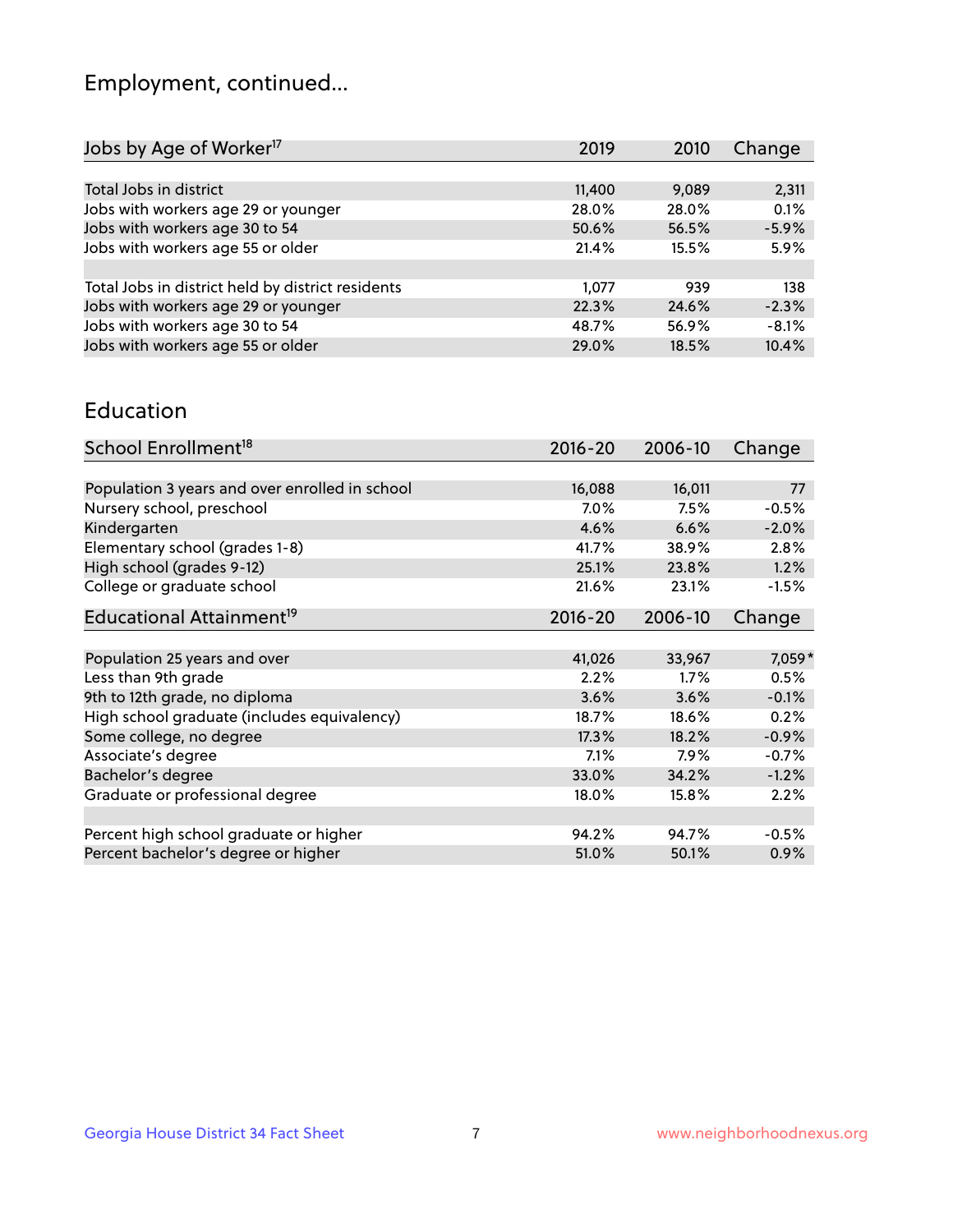## Employment, continued...

| 2019   | 2010  | Change  |
|--------|-------|---------|
|        |       |         |
| 11,400 | 9,089 | 2,311   |
| 28.0%  | 28.0% | 0.1%    |
| 50.6%  | 56.5% | $-5.9%$ |
| 21.4%  | 15.5% | 5.9%    |
|        |       |         |
| 1,077  | 939   | 138     |
| 22.3%  | 24.6% | $-2.3%$ |
| 48.7%  | 56.9% | $-8.1%$ |
| 29.0%  | 18.5% | 10.4%   |
|        |       |         |

#### Education

| School Enrollment <sup>18</sup>                | $2016 - 20$ | 2006-10  | Change   |
|------------------------------------------------|-------------|----------|----------|
|                                                |             |          |          |
| Population 3 years and over enrolled in school | 16,088      | 16,011   | 77       |
| Nursery school, preschool                      | $7.0\%$     | 7.5%     | $-0.5%$  |
| Kindergarten                                   | 4.6%        | 6.6%     | $-2.0%$  |
| Elementary school (grades 1-8)                 | 41.7%       | 38.9%    | 2.8%     |
| High school (grades 9-12)                      | 25.1%       | 23.8%    | 1.2%     |
| College or graduate school                     | 21.6%       | 23.1%    | $-1.5%$  |
| Educational Attainment <sup>19</sup>           | $2016 - 20$ | 2006-10  | Change   |
|                                                |             |          |          |
| Population 25 years and over                   | 41,026      | 33,967   | $7,059*$ |
| Less than 9th grade                            | 2.2%        | 1.7%     | 0.5%     |
| 9th to 12th grade, no diploma                  | 3.6%        | 3.6%     | $-0.1%$  |
| High school graduate (includes equivalency)    | 18.7%       | 18.6%    | 0.2%     |
| Some college, no degree                        | 17.3%       | 18.2%    | $-0.9%$  |
| Associate's degree                             | 7.1%        | 7.9%     | $-0.7%$  |
| Bachelor's degree                              | 33.0%       | 34.2%    | $-1.2%$  |
| Graduate or professional degree                | 18.0%       | $15.8\%$ | 2.2%     |
|                                                |             |          |          |
| Percent high school graduate or higher         | 94.2%       | 94.7%    | $-0.5%$  |
| Percent bachelor's degree or higher            | 51.0%       | 50.1%    | 0.9%     |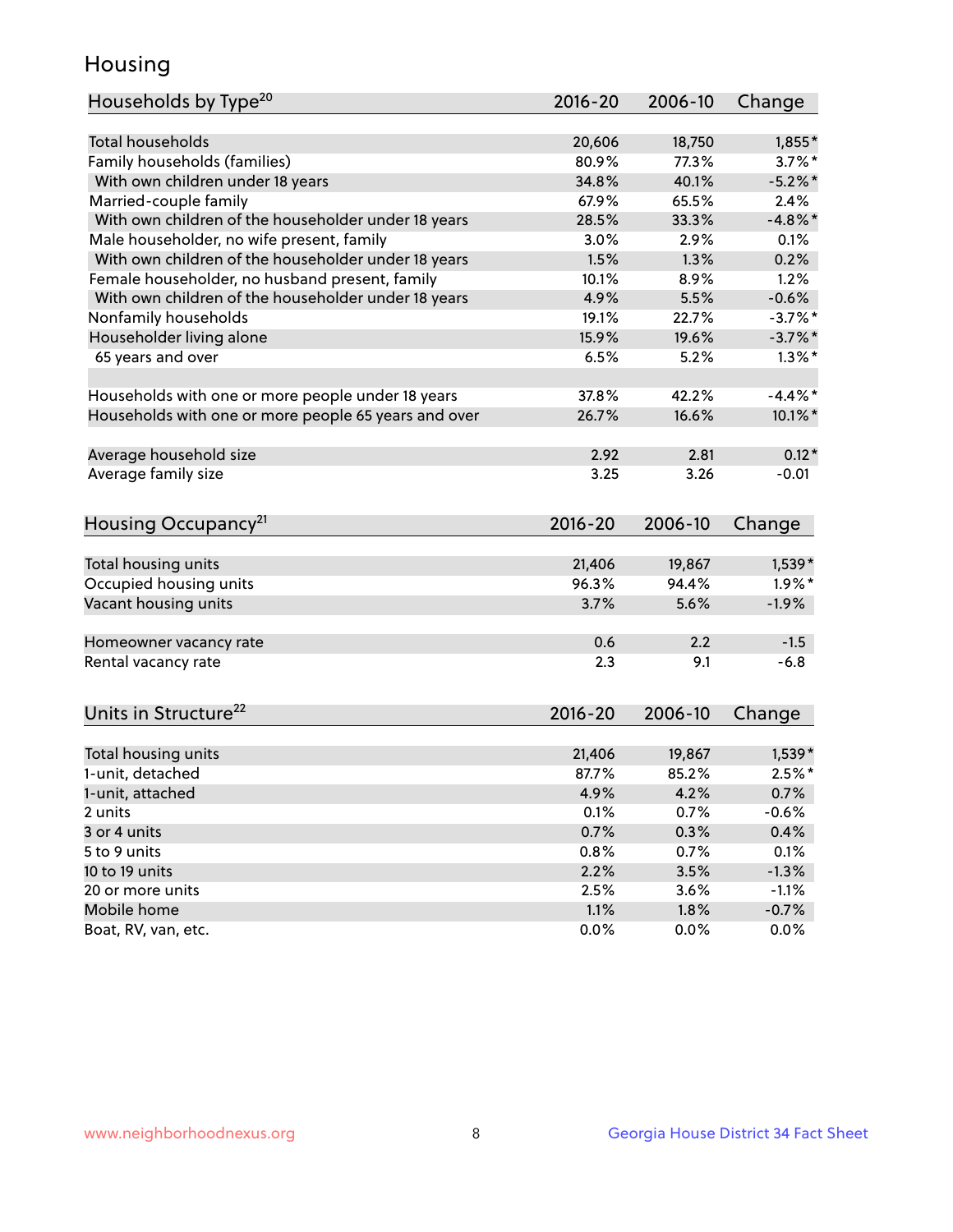## Housing

| Households by Type <sup>20</sup>                     | 2016-20 | 2006-10 | Change     |
|------------------------------------------------------|---------|---------|------------|
|                                                      |         |         |            |
| <b>Total households</b>                              | 20,606  | 18,750  | $1,855*$   |
| Family households (families)                         | 80.9%   | 77.3%   | $3.7\%$ *  |
| With own children under 18 years                     | 34.8%   | 40.1%   | $-5.2%$    |
| Married-couple family                                | 67.9%   | 65.5%   | 2.4%       |
| With own children of the householder under 18 years  | 28.5%   | 33.3%   | $-4.8\%$ * |
| Male householder, no wife present, family            | 3.0%    | 2.9%    | 0.1%       |
| With own children of the householder under 18 years  | 1.5%    | 1.3%    | 0.2%       |
| Female householder, no husband present, family       | 10.1%   | 8.9%    | 1.2%       |
| With own children of the householder under 18 years  | 4.9%    | 5.5%    | $-0.6%$    |
| Nonfamily households                                 | 19.1%   | 22.7%   | $-3.7%$ *  |
| Householder living alone                             | 15.9%   | 19.6%   | $-3.7%$ *  |
| 65 years and over                                    | 6.5%    | 5.2%    | $1.3\%$ *  |
|                                                      |         |         |            |
| Households with one or more people under 18 years    | 37.8%   | 42.2%   | $-4.4\%$ * |
| Households with one or more people 65 years and over | 26.7%   | 16.6%   | $10.1\%$ * |
|                                                      |         |         |            |
| Average household size                               | 2.92    | 2.81    | $0.12*$    |
| Average family size                                  | 3.25    | 3.26    | $-0.01$    |
| Housing Occupancy <sup>21</sup>                      | 2016-20 | 2006-10 | Change     |
|                                                      |         |         |            |
| Total housing units                                  | 21,406  | 19,867  | $1,539*$   |
| Occupied housing units                               | 96.3%   | 94.4%   | $1.9\%$ *  |
| Vacant housing units                                 | 3.7%    | 5.6%    | $-1.9%$    |
|                                                      |         |         |            |
| Homeowner vacancy rate                               | 0.6     | 2.2     | $-1.5$     |
| Rental vacancy rate                                  | 2.3     | 9.1     | $-6.8$     |
|                                                      |         |         |            |
| Units in Structure <sup>22</sup>                     | 2016-20 | 2006-10 | Change     |
| Total housing units                                  | 21,406  | 19,867  | $1,539*$   |
| 1-unit, detached                                     | 87.7%   | 85.2%   | $2.5%$ *   |
| 1-unit, attached                                     | 4.9%    | 4.2%    | 0.7%       |
| 2 units                                              | 0.1%    | 0.7%    | $-0.6%$    |
| 3 or 4 units                                         | 0.7%    | 0.3%    | 0.4%       |
| 5 to 9 units                                         | 0.8%    | 0.7%    | 0.1%       |
| 10 to 19 units                                       | 2.2%    | 3.5%    | $-1.3%$    |
| 20 or more units                                     | 2.5%    | 3.6%    | $-1.1%$    |
| Mobile home                                          | 1.1%    | 1.8%    | $-0.7%$    |
| Boat, RV, van, etc.                                  | 0.0%    | 0.0%    | 0.0%       |
|                                                      |         |         |            |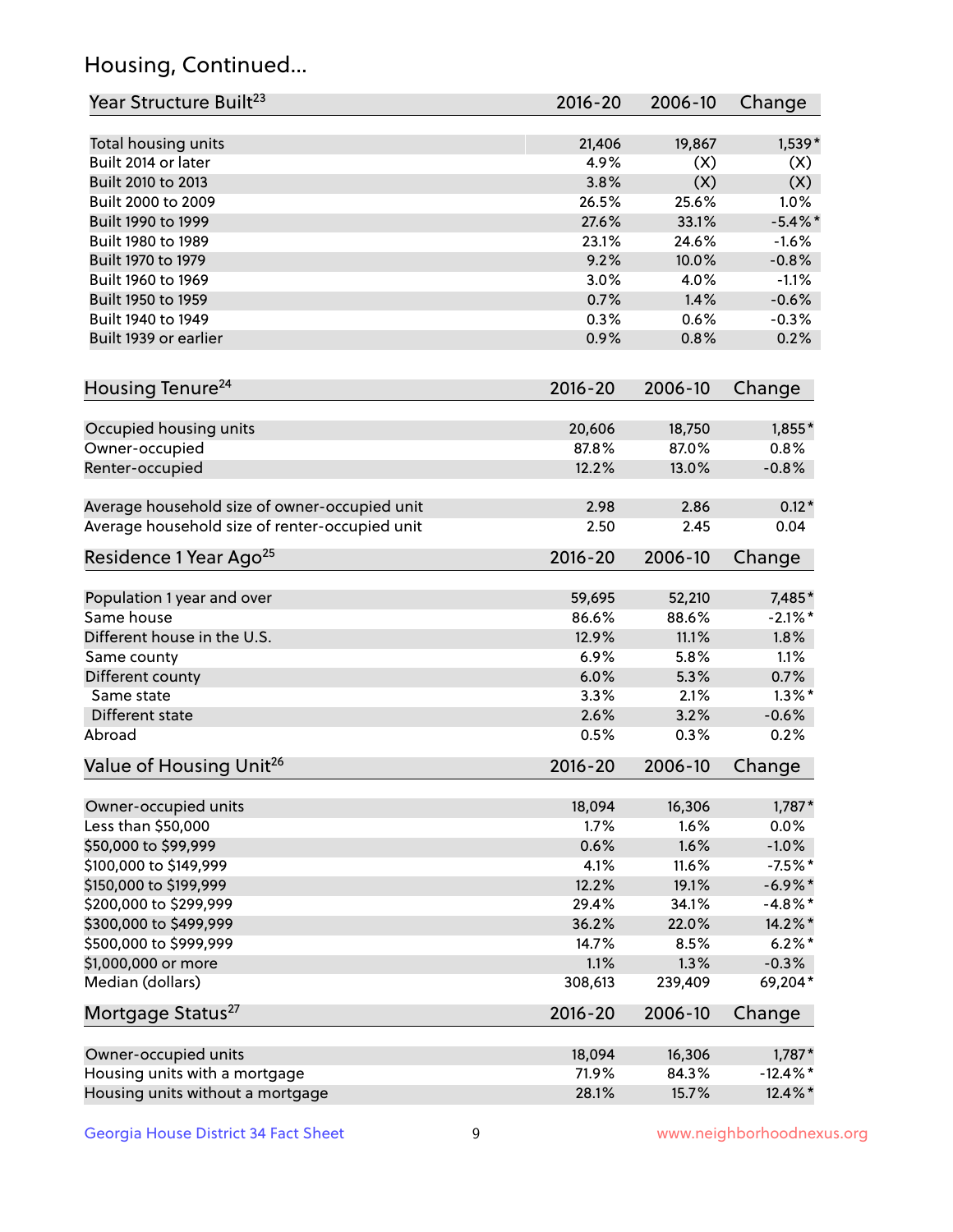## Housing, Continued...

| Year Structure Built <sup>23</sup>             | 2016-20     | 2006-10 | Change      |
|------------------------------------------------|-------------|---------|-------------|
| Total housing units                            | 21,406      | 19,867  | $1,539*$    |
| Built 2014 or later                            | 4.9%        | (X)     | (X)         |
| Built 2010 to 2013                             | 3.8%        | (X)     | (X)         |
| Built 2000 to 2009                             | 26.5%       | 25.6%   | 1.0%        |
| Built 1990 to 1999                             | 27.6%       | 33.1%   | $-5.4\%$ *  |
| Built 1980 to 1989                             | 23.1%       | 24.6%   | $-1.6%$     |
| Built 1970 to 1979                             | 9.2%        | 10.0%   | $-0.8%$     |
| Built 1960 to 1969                             | 3.0%        | 4.0%    | $-1.1%$     |
| Built 1950 to 1959                             | 0.7%        | 1.4%    | $-0.6%$     |
| Built 1940 to 1949                             | 0.3%        | 0.6%    | $-0.3%$     |
| Built 1939 or earlier                          | 0.9%        | 0.8%    | 0.2%        |
| Housing Tenure <sup>24</sup>                   | $2016 - 20$ | 2006-10 | Change      |
| Occupied housing units                         | 20,606      | 18,750  | $1,855*$    |
| Owner-occupied                                 | 87.8%       | 87.0%   | 0.8%        |
| Renter-occupied                                | 12.2%       | 13.0%   | $-0.8%$     |
| Average household size of owner-occupied unit  | 2.98        | 2.86    | $0.12*$     |
| Average household size of renter-occupied unit | 2.50        | 2.45    | 0.04        |
| Residence 1 Year Ago <sup>25</sup>             | $2016 - 20$ | 2006-10 | Change      |
| Population 1 year and over                     | 59,695      | 52,210  | 7,485*      |
| Same house                                     | 86.6%       | 88.6%   | $-2.1\%$ *  |
| Different house in the U.S.                    | 12.9%       | 11.1%   | 1.8%        |
| Same county                                    | 6.9%        | 5.8%    | 1.1%        |
| Different county                               | 6.0%        | 5.3%    | 0.7%        |
| Same state                                     | 3.3%        | 2.1%    | $1.3\%$ *   |
| Different state                                | 2.6%        | 3.2%    | $-0.6%$     |
| Abroad                                         | 0.5%        | 0.3%    | 0.2%        |
| Value of Housing Unit <sup>26</sup>            | 2016-20     | 2006-10 | Change      |
| Owner-occupied units                           | 18,094      | 16,306  | $1,787*$    |
| Less than \$50,000                             | 1.7%        | 1.6%    | 0.0%        |
| \$50,000 to \$99,999                           | 0.6%        | 1.6%    | $-1.0%$     |
| \$100,000 to \$149,999                         | 4.1%        | 11.6%   | $-7.5%$ *   |
| \$150,000 to \$199,999                         | 12.2%       | 19.1%   | $-6.9\%*$   |
| \$200,000 to \$299,999                         | 29.4%       | 34.1%   | $-4.8\%$ *  |
| \$300,000 to \$499,999                         | 36.2%       | 22.0%   | 14.2%*      |
| \$500,000 to \$999,999                         | 14.7%       | 8.5%    | $6.2\%$ *   |
| \$1,000,000 or more                            | 1.1%        | 1.3%    | $-0.3%$     |
| Median (dollars)                               | 308,613     | 239,409 | 69,204*     |
| Mortgage Status <sup>27</sup>                  | $2016 - 20$ | 2006-10 | Change      |
| Owner-occupied units                           | 18,094      | 16,306  | 1,787*      |
| Housing units with a mortgage                  | 71.9%       | 84.3%   | $-12.4\%$ * |
| Housing units without a mortgage               | 28.1%       | 15.7%   | 12.4%*      |
|                                                |             |         |             |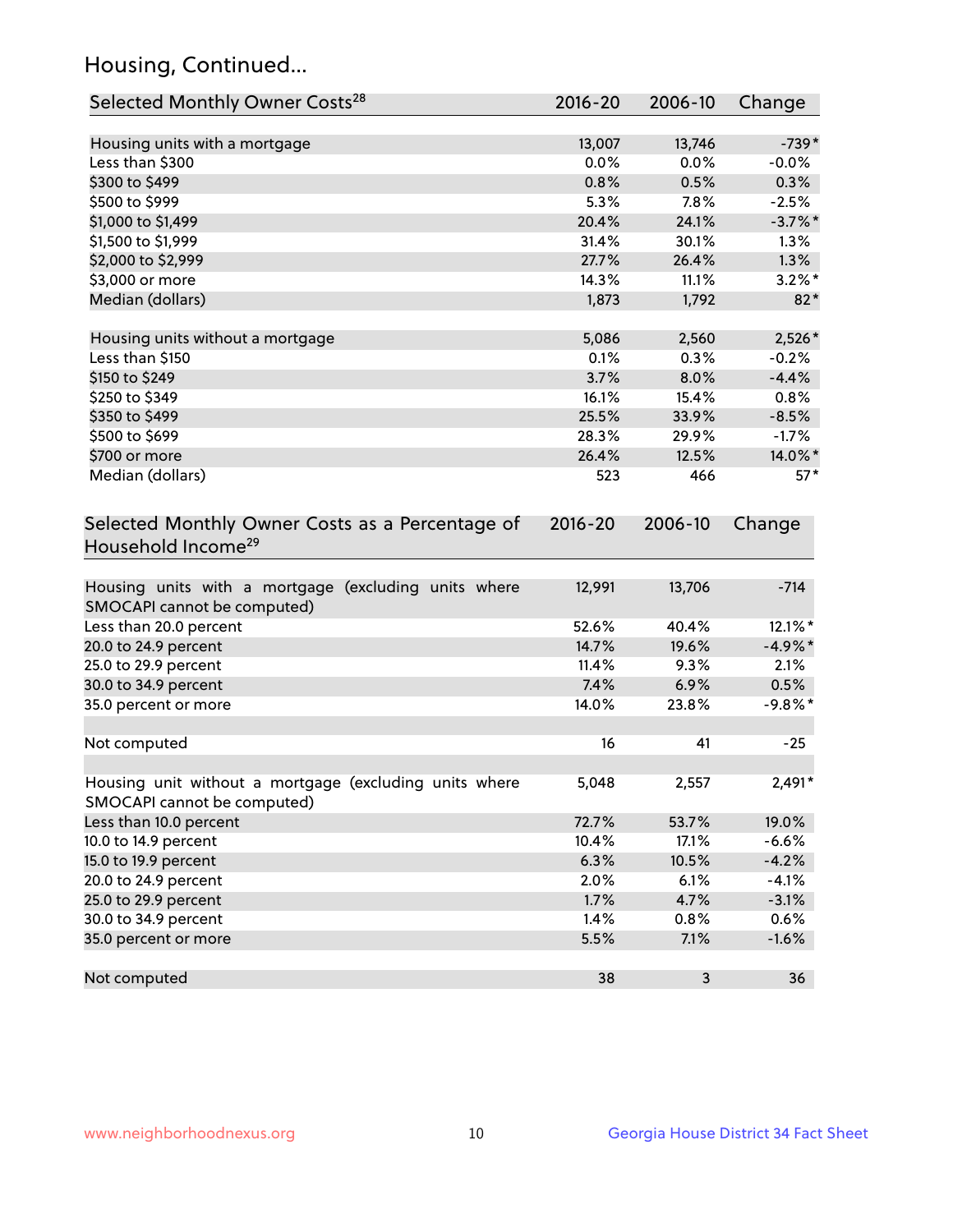## Housing, Continued...

| Selected Monthly Owner Costs <sup>28</sup>                                            | 2016-20     | 2006-10 | Change     |
|---------------------------------------------------------------------------------------|-------------|---------|------------|
| Housing units with a mortgage                                                         | 13,007      | 13,746  | $-739*$    |
| Less than \$300                                                                       | 0.0%        | 0.0%    | $-0.0\%$   |
| \$300 to \$499                                                                        | 0.8%        | 0.5%    | 0.3%       |
| \$500 to \$999                                                                        | 5.3%        | 7.8%    | $-2.5%$    |
| \$1,000 to \$1,499                                                                    | 20.4%       | 24.1%   | $-3.7\%$ * |
| \$1,500 to \$1,999                                                                    | 31.4%       | 30.1%   | 1.3%       |
| \$2,000 to \$2,999                                                                    | 27.7%       | 26.4%   | 1.3%       |
| \$3,000 or more                                                                       | 14.3%       | 11.1%   | $3.2\%$ *  |
| Median (dollars)                                                                      | 1,873       | 1,792   | $82*$      |
| Housing units without a mortgage                                                      | 5,086       | 2,560   | 2,526*     |
| Less than \$150                                                                       | 0.1%        | 0.3%    | $-0.2%$    |
| \$150 to \$249                                                                        | 3.7%        | 8.0%    | $-4.4%$    |
| \$250 to \$349                                                                        | 16.1%       | 15.4%   | 0.8%       |
| \$350 to \$499                                                                        | 25.5%       | 33.9%   | $-8.5%$    |
| \$500 to \$699                                                                        | 28.3%       | 29.9%   | $-1.7%$    |
| \$700 or more                                                                         | 26.4%       | 12.5%   | 14.0%*     |
| Median (dollars)                                                                      | 523         | 466     | $57*$      |
| Selected Monthly Owner Costs as a Percentage of<br>Household Income <sup>29</sup>     | $2016 - 20$ | 2006-10 | Change     |
| Housing units with a mortgage (excluding units where<br>SMOCAPI cannot be computed)   | 12,991      | 13,706  | $-714$     |
| Less than 20.0 percent                                                                | 52.6%       | 40.4%   | 12.1%*     |
| 20.0 to 24.9 percent                                                                  | 14.7%       | 19.6%   | $-4.9\%$ * |
| 25.0 to 29.9 percent                                                                  | 11.4%       | 9.3%    | 2.1%       |
| 30.0 to 34.9 percent                                                                  | 7.4%        | 6.9%    | 0.5%       |
| 35.0 percent or more                                                                  | 14.0%       | 23.8%   | $-9.8\%$ * |
| Not computed                                                                          | 16          | 41      | $-25$      |
| Housing unit without a mortgage (excluding units where<br>SMOCAPI cannot be computed) | 5,048       | 2,557   | $2,491*$   |
| Less than 10.0 percent                                                                | 72.7%       | 53.7%   | 19.0%      |
| 10.0 to 14.9 percent                                                                  | 10.4%       | 17.1%   | $-6.6%$    |
| 15.0 to 19.9 percent                                                                  | 6.3%        | 10.5%   | $-4.2%$    |
| 20.0 to 24.9 percent                                                                  | 2.0%        | 6.1%    | $-4.1%$    |
| 25.0 to 29.9 percent                                                                  | 1.7%        | 4.7%    | $-3.1%$    |
| 30.0 to 34.9 percent                                                                  | 1.4%        | 0.8%    | 0.6%       |
| 35.0 percent or more                                                                  | 5.5%        | 7.1%    | $-1.6%$    |
| Not computed                                                                          | 38          | 3       | 36         |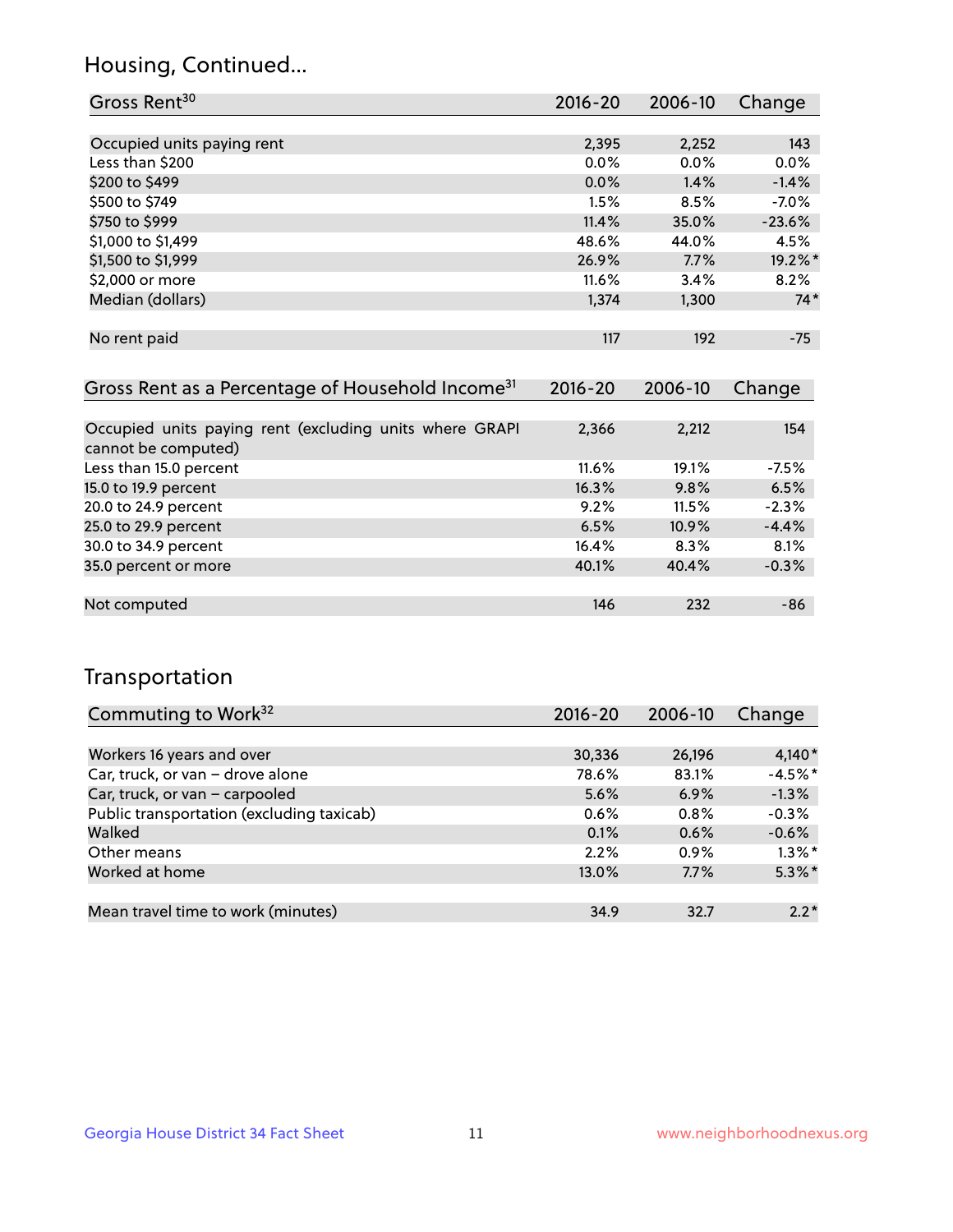## Housing, Continued...

| Gross Rent <sup>30</sup>   | 2016-20 | 2006-10 | Change   |
|----------------------------|---------|---------|----------|
|                            |         |         |          |
| Occupied units paying rent | 2,395   | 2,252   | 143      |
| Less than \$200            | 0.0%    | 0.0%    | 0.0%     |
| \$200 to \$499             | $0.0\%$ | 1.4%    | $-1.4%$  |
| \$500 to \$749             | 1.5%    | 8.5%    | $-7.0%$  |
| \$750 to \$999             | 11.4%   | 35.0%   | $-23.6%$ |
| \$1,000 to \$1,499         | 48.6%   | 44.0%   | 4.5%     |
| \$1,500 to \$1,999         | 26.9%   | 7.7%    | 19.2%*   |
| \$2,000 or more            | 11.6%   | 3.4%    | 8.2%     |
| Median (dollars)           | 1,374   | 1,300   | $74*$    |
|                            |         |         |          |
| No rent paid               | 117     | 192     | $-75$    |

| Gross Rent as a Percentage of Household Income <sup>31</sup>                   | $2016 - 20$ | 2006-10 | Change  |
|--------------------------------------------------------------------------------|-------------|---------|---------|
|                                                                                |             |         |         |
| Occupied units paying rent (excluding units where GRAPI<br>cannot be computed) | 2,366       | 2,212   | 154     |
| Less than 15.0 percent                                                         | 11.6%       | 19.1%   | $-7.5%$ |
| 15.0 to 19.9 percent                                                           | 16.3%       | 9.8%    | 6.5%    |
| 20.0 to 24.9 percent                                                           | 9.2%        | 11.5%   | $-2.3%$ |
| 25.0 to 29.9 percent                                                           | 6.5%        | 10.9%   | $-4.4%$ |
| 30.0 to 34.9 percent                                                           | 16.4%       | 8.3%    | 8.1%    |
| 35.0 percent or more                                                           | 40.1%       | 40.4%   | $-0.3%$ |
|                                                                                |             |         |         |
| Not computed                                                                   | 146         | 232     | -86     |

## Transportation

| Commuting to Work <sup>32</sup>           | 2016-20 | 2006-10 | Change    |
|-------------------------------------------|---------|---------|-----------|
|                                           |         |         |           |
| Workers 16 years and over                 | 30,336  | 26,196  | $4,140*$  |
| Car, truck, or van - drove alone          | 78.6%   | 83.1%   | $-4.5%$ * |
| Car, truck, or van - carpooled            | 5.6%    | 6.9%    | $-1.3%$   |
| Public transportation (excluding taxicab) | 0.6%    | $0.8\%$ | $-0.3%$   |
| Walked                                    | 0.1%    | 0.6%    | $-0.6%$   |
| Other means                               | 2.2%    | $0.9\%$ | $1.3\%$ * |
| Worked at home                            | 13.0%   | 7.7%    | $5.3\%$ * |
|                                           |         |         |           |
| Mean travel time to work (minutes)        | 34.9    | 32.7    | $2.2*$    |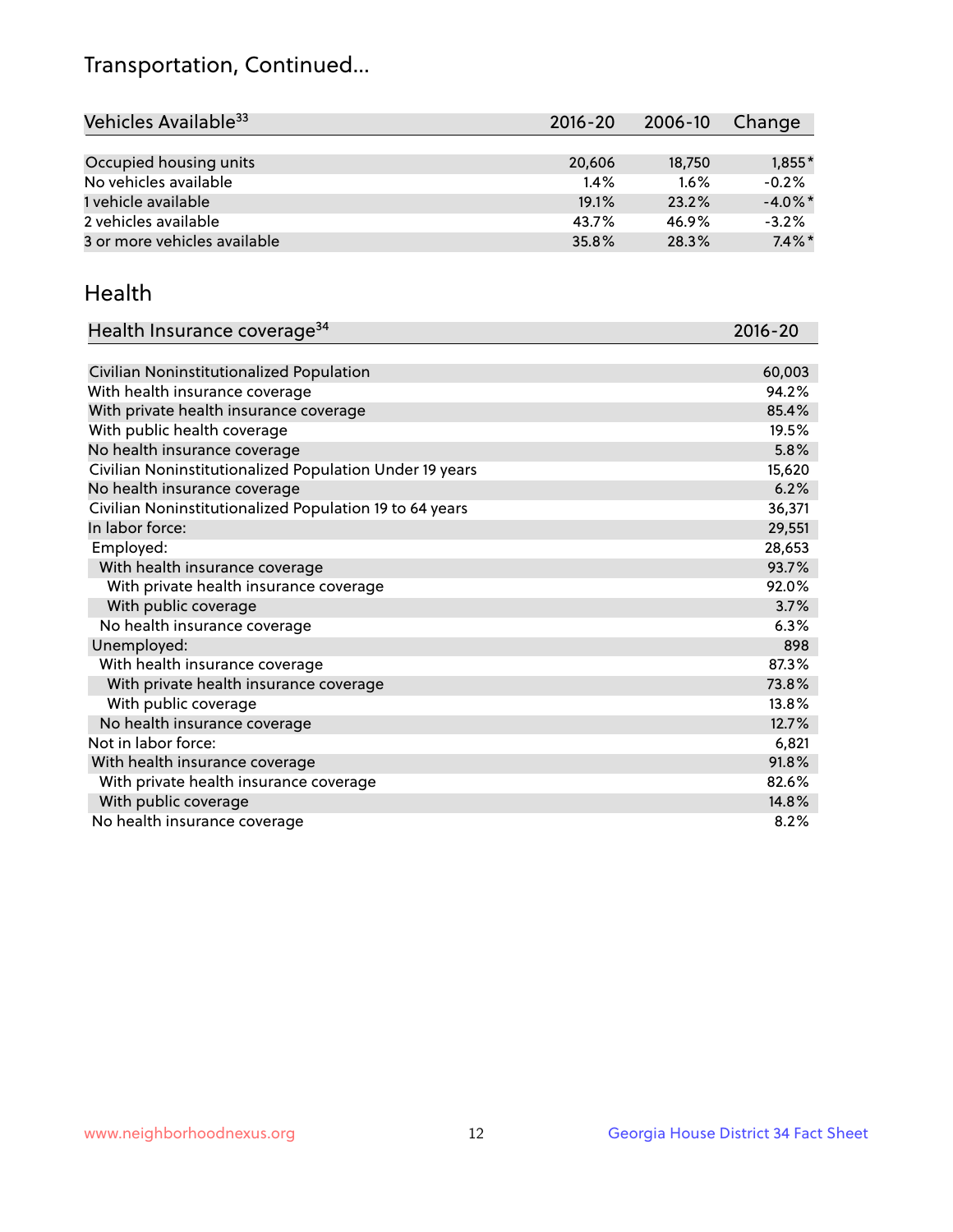## Transportation, Continued...

| Vehicles Available <sup>33</sup> | $2016 - 20$ | 2006-10 | Change     |
|----------------------------------|-------------|---------|------------|
|                                  |             |         |            |
| Occupied housing units           | 20,606      | 18,750  | $1,855*$   |
| No vehicles available            | $1.4\%$     | 1.6%    | $-0.2%$    |
| 1 vehicle available              | 19.1%       | 23.2%   | $-4.0\%$ * |
| 2 vehicles available             | 43.7%       | 46.9%   | $-3.2%$    |
| 3 or more vehicles available     | 35.8%       | 28.3%   | $7.4\%$ *  |

#### Health

| Health Insurance coverage <sup>34</sup>                 | 2016-20 |
|---------------------------------------------------------|---------|
|                                                         |         |
| Civilian Noninstitutionalized Population                | 60,003  |
| With health insurance coverage                          | 94.2%   |
| With private health insurance coverage                  | 85.4%   |
| With public health coverage                             | 19.5%   |
| No health insurance coverage                            | 5.8%    |
| Civilian Noninstitutionalized Population Under 19 years | 15,620  |
| No health insurance coverage                            | 6.2%    |
| Civilian Noninstitutionalized Population 19 to 64 years | 36,371  |
| In labor force:                                         | 29,551  |
| Employed:                                               | 28,653  |
| With health insurance coverage                          | 93.7%   |
| With private health insurance coverage                  | 92.0%   |
| With public coverage                                    | 3.7%    |
| No health insurance coverage                            | 6.3%    |
| Unemployed:                                             | 898     |
| With health insurance coverage                          | 87.3%   |
| With private health insurance coverage                  | 73.8%   |
| With public coverage                                    | 13.8%   |
| No health insurance coverage                            | 12.7%   |
| Not in labor force:                                     | 6,821   |
| With health insurance coverage                          | 91.8%   |
| With private health insurance coverage                  | 82.6%   |
| With public coverage                                    | 14.8%   |
| No health insurance coverage                            | 8.2%    |